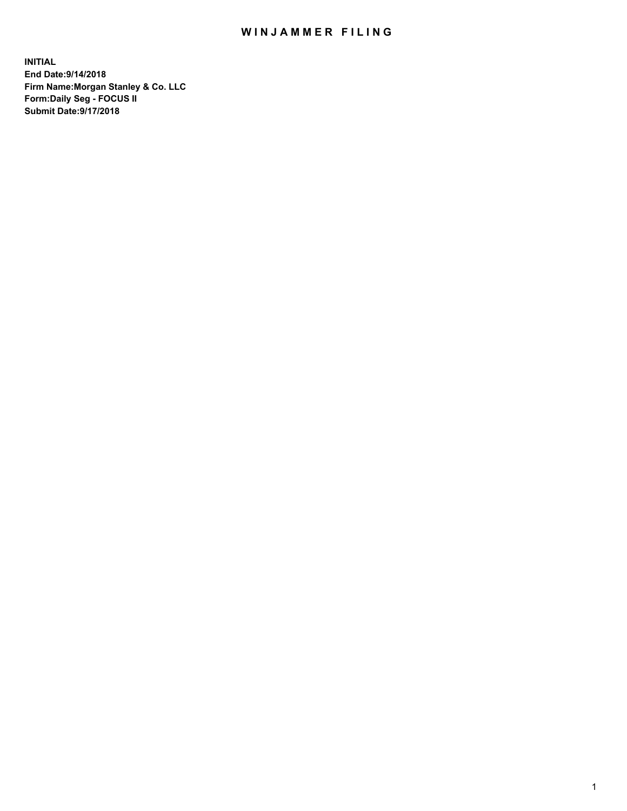## WIN JAMMER FILING

**INITIAL End Date:9/14/2018 Firm Name:Morgan Stanley & Co. LLC Form:Daily Seg - FOCUS II Submit Date:9/17/2018**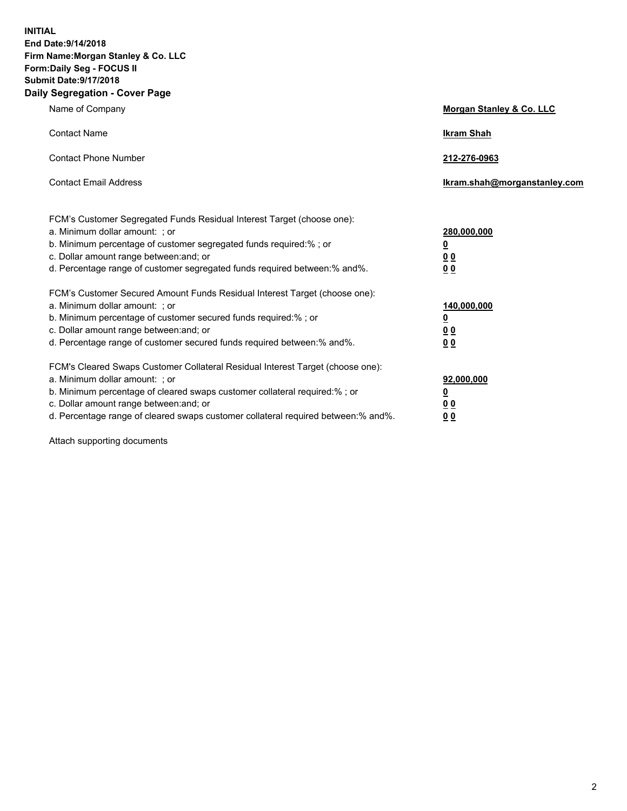**INITIAL End Date:9/14/2018 Firm Name:Morgan Stanley & Co. LLC Form:Daily Seg - FOCUS II Submit Date:9/17/2018 Daily Segregation - Cover Page**

| Name of Company                                                                                                                                                                                                                                                                                                               | Morgan Stanley & Co. LLC                                    |  |
|-------------------------------------------------------------------------------------------------------------------------------------------------------------------------------------------------------------------------------------------------------------------------------------------------------------------------------|-------------------------------------------------------------|--|
| <b>Contact Name</b>                                                                                                                                                                                                                                                                                                           | <b>Ikram Shah</b>                                           |  |
| <b>Contact Phone Number</b>                                                                                                                                                                                                                                                                                                   | 212-276-0963                                                |  |
| <b>Contact Email Address</b>                                                                                                                                                                                                                                                                                                  | Ikram.shah@morganstanley.com                                |  |
| FCM's Customer Segregated Funds Residual Interest Target (choose one):<br>a. Minimum dollar amount: ; or<br>b. Minimum percentage of customer segregated funds required:% ; or<br>c. Dollar amount range between: and; or<br>d. Percentage range of customer segregated funds required between:% and%.                        | 280,000,000<br><u>0</u><br><u>00</u><br>0 <sup>0</sup>      |  |
| FCM's Customer Secured Amount Funds Residual Interest Target (choose one):<br>a. Minimum dollar amount: ; or<br>b. Minimum percentage of customer secured funds required:%; or<br>c. Dollar amount range between: and; or<br>d. Percentage range of customer secured funds required between:% and%.                           | 140,000,000<br><u>0</u><br>0 <sub>0</sub><br>0 <sub>0</sub> |  |
| FCM's Cleared Swaps Customer Collateral Residual Interest Target (choose one):<br>a. Minimum dollar amount: ; or<br>b. Minimum percentage of cleared swaps customer collateral required:%; or<br>c. Dollar amount range between: and; or<br>d. Percentage range of cleared swaps customer collateral required between:% and%. | 92,000,000<br><u>0</u><br>0 Q<br>00                         |  |

Attach supporting documents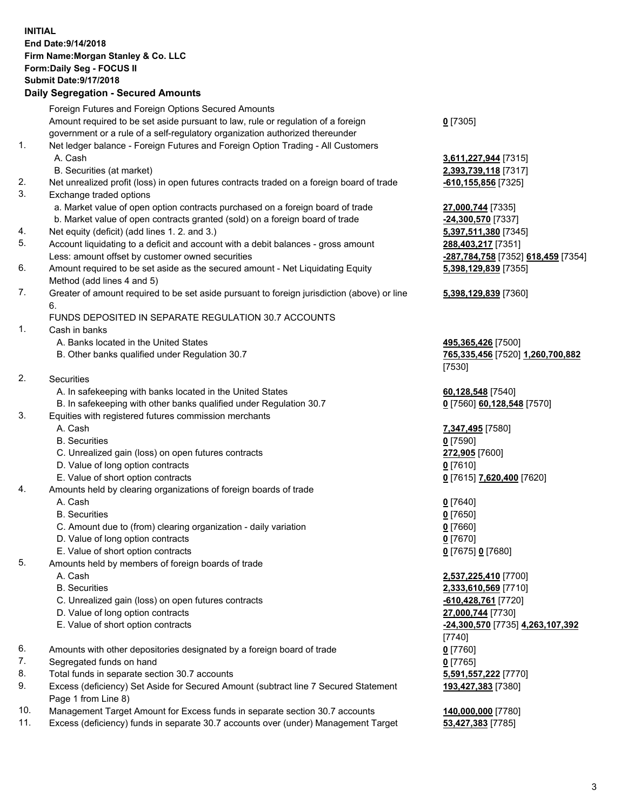## **INITIAL End Date:9/14/2018 Firm Name:Morgan Stanley & Co. LLC Form:Daily Seg - FOCUS II Submit Date:9/17/2018**

## **Daily Segregation - Secured Amounts**

|          | Foreign Futures and Foreign Options Secured Amounts                                                       |                                           |
|----------|-----------------------------------------------------------------------------------------------------------|-------------------------------------------|
|          | Amount required to be set aside pursuant to law, rule or regulation of a foreign                          | $0$ [7305]                                |
|          | government or a rule of a self-regulatory organization authorized thereunder                              |                                           |
| 1.       | Net ledger balance - Foreign Futures and Foreign Option Trading - All Customers                           |                                           |
|          | A. Cash                                                                                                   | 3,611,227,944 [7315]                      |
|          | B. Securities (at market)                                                                                 | 2,393,739,118 [7317]                      |
| 2.<br>3. | Net unrealized profit (loss) in open futures contracts traded on a foreign board of trade                 | $-610, 155, 856$ [7325]                   |
|          | Exchange traded options<br>a. Market value of open option contracts purchased on a foreign board of trade |                                           |
|          | b. Market value of open contracts granted (sold) on a foreign board of trade                              | 27,000,744 [7335]<br>$-24,300,570$ [7337] |
| 4.       | Net equity (deficit) (add lines 1.2. and 3.)                                                              | 5,397,511,380 [7345]                      |
| 5.       | Account liquidating to a deficit and account with a debit balances - gross amount                         | 288,403,217 [7351]                        |
|          | Less: amount offset by customer owned securities                                                          | -287,784,758 [7352]                       |
| 6.       | Amount required to be set aside as the secured amount - Net Liquidating Equity                            | 5,398,129,839 [7355]                      |
|          | Method (add lines 4 and 5)                                                                                |                                           |
| 7.       | Greater of amount required to be set aside pursuant to foreign jurisdiction (above) or line               | 5,398,129,839 [7360]                      |
|          | 6.                                                                                                        |                                           |
|          | FUNDS DEPOSITED IN SEPARATE REGULATION 30.7 ACCOUNTS                                                      |                                           |
| 1.       | Cash in banks                                                                                             |                                           |
|          | A. Banks located in the United States                                                                     | 495,365,426 [7500]                        |
|          | B. Other banks qualified under Regulation 30.7                                                            | 765,335,456 [7520] 1                      |
|          |                                                                                                           | [7530]                                    |
| 2.       | Securities                                                                                                |                                           |
|          | A. In safekeeping with banks located in the United States                                                 | 60,128,548 [7540]                         |
|          | B. In safekeeping with other banks qualified under Regulation 30.7                                        | 0 [7560] 60,128,548                       |
| 3.       | Equities with registered futures commission merchants                                                     |                                           |
|          | A. Cash                                                                                                   | 7,347,495 [7580]                          |
|          | <b>B.</b> Securities                                                                                      | $0$ [7590]                                |
|          | C. Unrealized gain (loss) on open futures contracts                                                       | 272,905 [7600]                            |
|          | D. Value of long option contracts                                                                         | $0$ [7610]                                |
|          | E. Value of short option contracts                                                                        | 0 [7615] 7,620,400 [7                     |
| 4.       | Amounts held by clearing organizations of foreign boards of trade                                         |                                           |
|          | A. Cash<br><b>B.</b> Securities                                                                           | $0$ [7640]                                |
|          |                                                                                                           | $0$ [7650]                                |
|          | C. Amount due to (from) clearing organization - daily variation<br>D. Value of long option contracts      | $0$ [7660]                                |
|          | E. Value of short option contracts                                                                        | $0$ [7670]<br>0 [7675] 0 [7680]           |
| 5.       | Amounts held by members of foreign boards of trade                                                        |                                           |
|          | A. Cash                                                                                                   | 2,537,225,410 [7700]                      |
|          | <b>B.</b> Securities                                                                                      | 2,333,610,569 [7710]                      |
|          | C. Unrealized gain (loss) on open futures contracts                                                       | -610,428,761 [7720]                       |
|          | D. Value of long option contracts                                                                         | 27,000,744 [7730]                         |
|          | E. Value of short option contracts                                                                        | -24,300,570 [7735] 4.                     |
|          |                                                                                                           | [7740]                                    |
| 6.       | Amounts with other depositories designated by a foreign board of trade                                    | $0$ [7760]                                |
| 7.       | Segregated funds on hand                                                                                  | $0$ [7765]                                |
| 8.       | Total funds in separate section 30.7 accounts                                                             | 5,591,557,222 [7770]                      |
| 9.       | Excess (deficiency) Set Aside for Secured Amount (subtract line 7 Secured Statement                       | 193,427,383 [7380]                        |
|          | Page 1 from Line 8)                                                                                       |                                           |
|          |                                                                                                           |                                           |

- 10. Management Target Amount for Excess funds in separate section 30.7 accounts **140,000,000** [7780]
- 11. Excess (deficiency) funds in separate 30.7 accounts over (under) Management Target **53,427,383** [7785]

Less: amount offset by customer owned securities **-287,784,758** [7352] **618,459** [7354] **5,398,129,839** [7355] **5,398,129,839** [7360] B. Other banks qualified under Regulation 30.7 **765,335,456** [7520] **1,260,700,882 128,548** [7570] E. Value of short option contracts **0** [7615] **7,620,400** [7620] E. Value of short option contracts **-24,300,570** [7735] **4,263,107,392**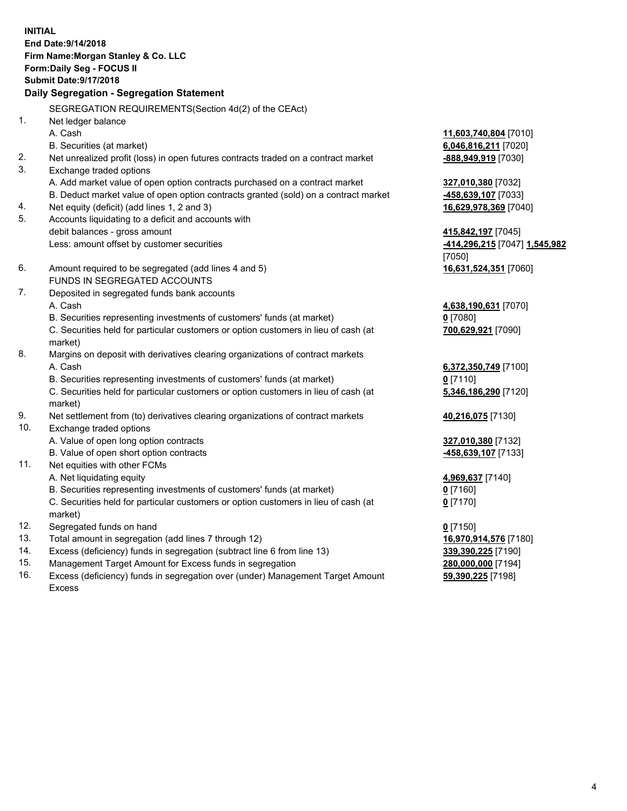**INITIAL End Date:9/14/2018 Firm Name:Morgan Stanley & Co. LLC Form:Daily Seg - FOCUS II Submit Date:9/17/2018 Daily Segregation - Segregation Statement** SEGREGATION REQUIREMENTS(Section 4d(2) of the CEAct) 1. Net ledger balance A. Cash **11,603,740,804** [7010] B. Securities (at market) **6,046,816,211** [7020] 2. Net unrealized profit (loss) in open futures contracts traded on a contract market **-888,949,919** [7030] 3. Exchange traded options A. Add market value of open option contracts purchased on a contract market **327,010,380** [7032] B. Deduct market value of open option contracts granted (sold) on a contract market **-458,639,107** [7033] 4. Net equity (deficit) (add lines 1, 2 and 3) **16,629,978,369** [7040] 5. Accounts liquidating to a deficit and accounts with debit balances - gross amount **415,842,197** [7045] Less: amount offset by customer securities **-414,296,215** [7047] **1,545,982** [7050] 6. Amount required to be segregated (add lines 4 and 5) **16,631,524,351** [7060] FUNDS IN SEGREGATED ACCOUNTS 7. Deposited in segregated funds bank accounts A. Cash **4,638,190,631** [7070] B. Securities representing investments of customers' funds (at market) **0** [7080] C. Securities held for particular customers or option customers in lieu of cash (at market) **700,629,921** [7090] 8. Margins on deposit with derivatives clearing organizations of contract markets A. Cash **6,372,350,749** [7100] B. Securities representing investments of customers' funds (at market) **0** [7110] C. Securities held for particular customers or option customers in lieu of cash (at market) **5,346,186,290** [7120] 9. Net settlement from (to) derivatives clearing organizations of contract markets **40,216,075** [7130] 10. Exchange traded options A. Value of open long option contracts **327,010,380** [7132] B. Value of open short option contracts **-458,639,107** [7133] 11. Net equities with other FCMs A. Net liquidating equity **4,969,637** [7140] B. Securities representing investments of customers' funds (at market) **0** [7160] C. Securities held for particular customers or option customers in lieu of cash (at market) **0** [7170] 12. Segregated funds on hand **0** [7150] 13. Total amount in segregation (add lines 7 through 12) **16,970,914,576** [7180] 14. Excess (deficiency) funds in segregation (subtract line 6 from line 13) **339,390,225** [7190]

- 15. Management Target Amount for Excess funds in segregation **280,000,000** [7194]
- 16. Excess (deficiency) funds in segregation over (under) Management Target Amount Excess

**59,390,225** [7198]